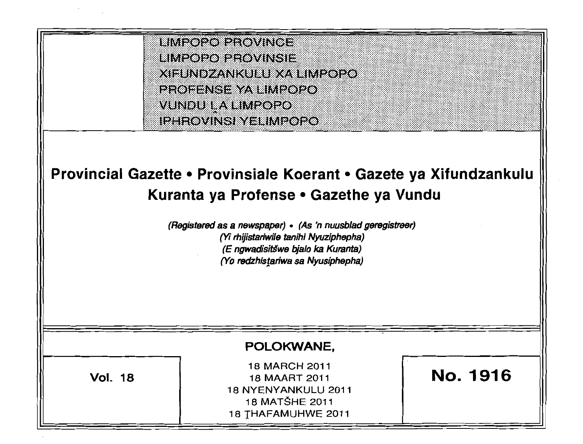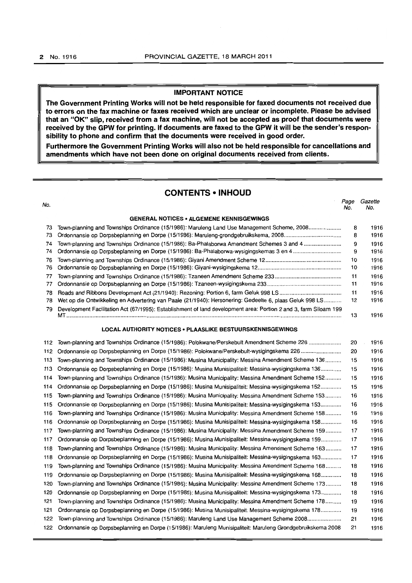#### **IMPORTANT NOTICE**

**The Government Printing Works will not be held responsible for faxed documents not received due to errors on the fax machine or faxes received which are unclear or incomplete. Please be advised that an "OK" slip, received from a fax machine, will not be accepted as proof that documents were received by the GPW for printing. If documents are faxed to the GPW it will be the sender's responsibility to phone and confirm that the documents were received in good order.** 

**Furthermore the Government Printing Works will also not be held responsible for cancellations and amendments which have not been done on original documents received from clients.** 

#### **CONTENTS • INHOUD**

| No.                                                              |                                                                                                                  | Page<br>No. | Gazette<br>No. |  |  |  |  |
|------------------------------------------------------------------|------------------------------------------------------------------------------------------------------------------|-------------|----------------|--|--|--|--|
|                                                                  | <b>GENERAL NOTICES • ALGEMENE KENNISGEWINGS</b>                                                                  |             |                |  |  |  |  |
| 73                                                               | Town-planning and Townships Ordinance (15/1986): Maruleng Land Use Management Scheme, 2008                       | 8           | 1916           |  |  |  |  |
| 73                                                               |                                                                                                                  | 8           | 1916           |  |  |  |  |
| 74                                                               | Town-planning and Townships Ordinance (15/1986): Ba-Phalaborwa Amendment Schemes 3 and 4                         | 9           | 1916           |  |  |  |  |
| 74                                                               | Ordonnansie op Dorpsbeplanning en Dorpe (15/1986): Ba-Phalaborwa-wysigingskemas 3 en 4                           | 9           | 1916           |  |  |  |  |
| 76                                                               |                                                                                                                  | 10          | 1916           |  |  |  |  |
| 76                                                               |                                                                                                                  | 10          | 1916           |  |  |  |  |
| 77                                                               |                                                                                                                  | 11          | 1916           |  |  |  |  |
| 77                                                               |                                                                                                                  | 11          | 1916           |  |  |  |  |
| 78                                                               |                                                                                                                  | 11          | 1916           |  |  |  |  |
| 78                                                               | Wet op die Ontwikkeling en Advertering van Paaie (21/1940): Hersonering: Gedeelte 6, plaas Geluk 998 LS          | 12          | 1916           |  |  |  |  |
| 79                                                               | Development Facilitation Act (67/1995): Establishment of land development area: Portion 2 and 3, farm Siloam 199 | 13          | 1916           |  |  |  |  |
| <b>LOCAL AUTHORITY NOTICES • PLAASLIKE BESTUURSKENNISGEWINGS</b> |                                                                                                                  |             |                |  |  |  |  |
| 112                                                              | Town-planning and Townships Ordinance (15/1986): Polokwane/Perskebult Amendment Scheme 226                       | 20          | 1916           |  |  |  |  |
| 112                                                              | Ordonnansie op Dorpsbeplanning en Dorpe (15/1986): Polokwane/Perskebult-wysigingskema 226                        | 20          | 1916           |  |  |  |  |
| 113                                                              | Town-planning and Townships Ordinance (15/1986): Musina Municipality: Messina Amendment Scheme 136               | 15          | 1916           |  |  |  |  |
| 113                                                              | Ordonnansie op Dorpsbeplanning en Dorpe (15/1986): Musina Munisipaliteit: Messina-wysigingskema 136              | 15          | 1916           |  |  |  |  |
| 114                                                              | Town-planning and Townships Ordinance (15/1986): Musina Municipality: Messina Amendment Scheme 152               | 15          | 1916           |  |  |  |  |
| 114                                                              | Ordonnansie op Dorpsbeplanning en Dorpe (15/1986): Musina Munisipaliteit: Messina-wysigingskema 152              | 15          | 1916           |  |  |  |  |
| 115                                                              | Town-planning and Townships Ordinance (15/1986): Musina Municipality: Messina Amendment Scheme 153               | 16          | 1916           |  |  |  |  |
| 115                                                              | Ordonnansie op Dorpsbeplanning en Dorpe (15/1986): Musina Munisipaliteit: Messina-wysigingskema 153              | 16          | 1916           |  |  |  |  |
| 116                                                              | Town-planning and Townships Ordinance (15/1986): Musina Municipality: Messina Amendment Scheme 158               | 16          | 1916           |  |  |  |  |
| 116                                                              | Ordonnansie op Dorpsbeplanning en Dorpe (15/1986): Musina Munisipaliteit: Messina-wysigingskema 158              | 16          | 1916           |  |  |  |  |
| 117                                                              | Town-planning and Townships Ordinance (15/1986): Musina Municipality: Messina Amendment Scheme 159               | 17          | 1916           |  |  |  |  |
| 117                                                              | Ordonnansie op Dorpsbeplanning en Dorpe (15/1986): Musina Munisipaliteit: Messina-wysigingskema 159              | 17          | 1916           |  |  |  |  |
| 118                                                              | Town-planning and Townships Ordinance (15/1986): Musina Municipality: Messina Amendment Scheme 163               | 17          | 1916           |  |  |  |  |
| 118                                                              | Ordonnansie op Dorpsbeplanning en Dorpe (15/1986): Musina Munisipaliteit: Messina-wysigingskema 163              | 17          | 1916           |  |  |  |  |
| 119                                                              | Town-planning and Townships Ordinance (15/1986): Musina Municipality: Messina Amendment Scheme 168               | 18          | 1916           |  |  |  |  |
| 119                                                              | Ordonnansie op Dorpsbeplanning en Dorpe (15/1986): Musina Munisipaliteit: Messina-wysigingskema 168              | 18          | 1916           |  |  |  |  |
| 120                                                              | Town-planning and Townships Ordinance (15/1986): Musina Municipality: Messina Amendment Scheme 173               | 18          | 1916           |  |  |  |  |
| 120                                                              | Ordonnansie op Dorpsbeplanning en Dorpe (15/1986): Musina Munisipaliteit: Messina-wysigingskema 173              | 18          | 1916           |  |  |  |  |
| 121                                                              | Town-planning and Townships Ordinance (15/1986): Musina Municipality: Messina Amendment Scheme 178               | 19          | 1916           |  |  |  |  |
| 121                                                              | Ordonnansie op Dorpsbeplanning en Dorpe (15/1986): Musina Munisipaliteit: Messina-wysigingskema 178              | 19          | 1916           |  |  |  |  |
| 122                                                              | Town-planning and Townships Ordinance (15/1986): Maruleng Land Use Management Scheme 2008                        | 21          | 1916           |  |  |  |  |
| 122                                                              | Ordonnansie op Dorpsbeplanning en Dorpe (15/1986): Maruleng Munisipaliteit: Maruleng Grondgebruikskema 2008      | 21          | 1916           |  |  |  |  |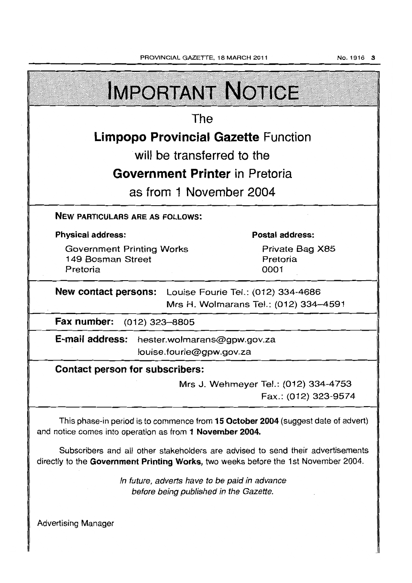PROVINCIAL GAZETTE, 18 MARCH 2011

| <b>IMPORTANT NOTICE</b>                                                                                                                                               |                                                              |  |  |  |  |
|-----------------------------------------------------------------------------------------------------------------------------------------------------------------------|--------------------------------------------------------------|--|--|--|--|
| The                                                                                                                                                                   |                                                              |  |  |  |  |
| <b>Limpopo Provincial Gazette Function</b>                                                                                                                            |                                                              |  |  |  |  |
| will be transferred to the                                                                                                                                            |                                                              |  |  |  |  |
| <b>Government Printer</b> in Pretoria                                                                                                                                 |                                                              |  |  |  |  |
| as from 1 November 2004                                                                                                                                               |                                                              |  |  |  |  |
| <b>NEW PARTICULARS ARE AS FOLLOWS:</b>                                                                                                                                |                                                              |  |  |  |  |
| <b>Physical address:</b>                                                                                                                                              | <b>Postal address:</b>                                       |  |  |  |  |
| <b>Government Printing Works</b><br>149 Bosman Street<br>Pretoria                                                                                                     | Private Bag X85<br>Pretoria<br>0001                          |  |  |  |  |
| <b>New contact persons:</b> Louise Fourie Tel.: (012) 334-4686<br>Mrs H. Wolmarans Tel.: (012) 334-4591                                                               |                                                              |  |  |  |  |
| Fax number: (012) 323-8805                                                                                                                                            |                                                              |  |  |  |  |
| E-mail address: hester.wolmarans@gpw.gov.za<br>louise.fourie@gpw.gov.za                                                                                               |                                                              |  |  |  |  |
| <b>Contact person for subscribers:</b>                                                                                                                                |                                                              |  |  |  |  |
|                                                                                                                                                                       | Mrs J. Wehmeyer Tel.: (012) 334-4753<br>Fax.: (012) 323-9574 |  |  |  |  |
| This phase-in period is to commence from 15 October 2004 (suggest date of advert)<br>and notice comes into operation as from 1 November 2004.                         |                                                              |  |  |  |  |
| Subscribers and all other stakeholders are advised to send their advertisements<br>directly to the Government Printing Works, two weeks before the 1st November 2004. |                                                              |  |  |  |  |
| In future, adverts have to be paid in advance<br>before being published in the Gazette.                                                                               |                                                              |  |  |  |  |
| <b>Advertising Manager</b>                                                                                                                                            |                                                              |  |  |  |  |

No.1916 3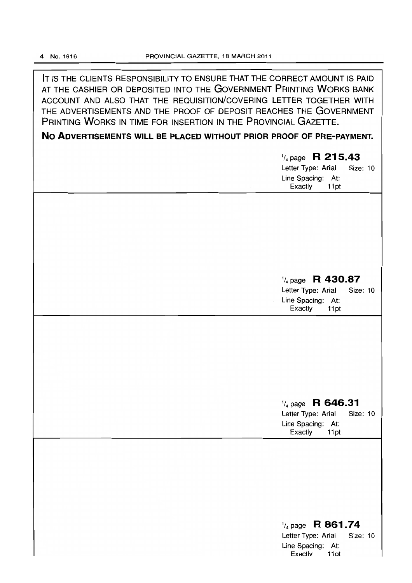**IT** IS THE CLIENTS RESPONSIBILITY TO ENSURE THAT THE CORRECT AMOUNT IS PAID AT THE CASHIER OR DEPOSITED INTO THE GOVERNMENT PRINTING WORKS BANK ACCOUNT AND ALSO THAT THE REQUISITION/COVERING LETTER TOGETHER WITH THE ADVERTISEMENTS AND THE PROOF OF DEPOSIT REACHES THE GOVERNMENT PRINTING WORKS IN TIME FOR INSERTION IN THE PROVINCIAL GAZETTE.

**No ADVERTISEMENTS WILL BE PLACED WITHOUT PRIOR PROOF OF PRE-PAYMENT.** 

| $\frac{1}{4}$ page R 215.43<br>Letter Type: Arial<br>Size: 10<br>Line Spacing: At:<br>Exactly<br>11pt           |
|-----------------------------------------------------------------------------------------------------------------|
|                                                                                                                 |
| $\frac{1}{4}$ page R 430.87<br>Letter Type: Arial<br>Size: 10                                                   |
| Line Spacing: At:<br>Exactly<br>11pt                                                                            |
|                                                                                                                 |
| $\frac{1}{4}$ page R 646.31<br>Letter Type: Arial<br>Size: 10<br>Line Spacing: At:<br>Exactly<br>11pt           |
|                                                                                                                 |
| R 861.74<br>$\frac{1}{4}$ page<br>Letter Type: Arial<br><b>Size: 10</b><br>Line Spacing: At:<br>11pt<br>Exactly |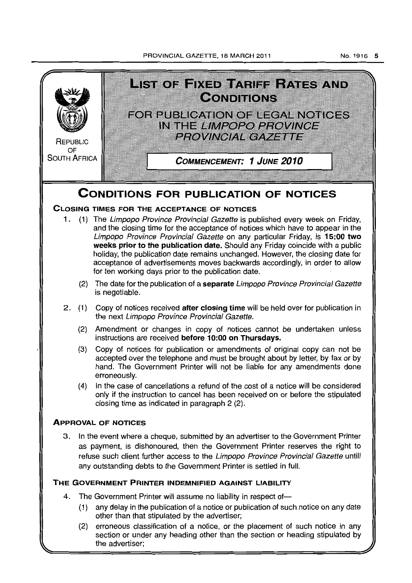#### PROVINCIAL GAZETTE, 18 MARCH 2011



the advertiser;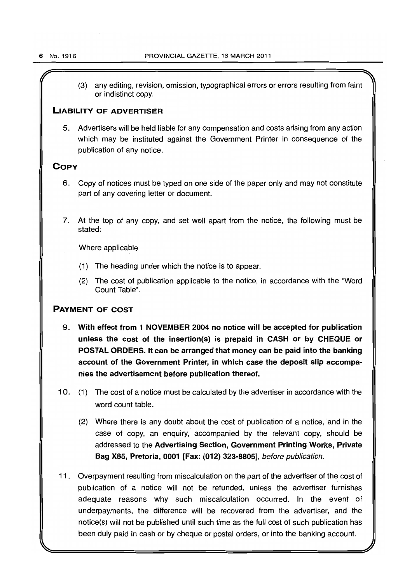(3) any editing, revision, omission, typographical errors or errors resulting from faint or indistinct copy.

#### LIABILITY OF ADVERTISER

5. Advertisers will be held liable for any compensation and costs arising from any action which may be instituted against the Government Printer in consequence of the publication of any notice.

### **COPY**

- 6. Copy of notices must be typed on one side of the paper only and may not constitute part of any covering letter or document.
- 7. At the top of any copy, and set well apart from the notice, the following must be stated:

Where applicable

- (1) The heading under which the notice is to appear.
- (2) The cost of publication applicable to the notice, in accordance with the "Word Count Table".

## PAYMENT OF COST

- 9. With effect from 1 NOVEMBER 2004 no notice will be accepted for publication unless the cost of the insertion(s) is prepaid in CASH or by CHEQUE or POSTAL ORDERS. It can be arranged that money can be paid into the banking account of the Government Printer, in which case the deposit slip accompanies the advertisement before publication thereof.
- 10. (1) The cost of a notice must be calculated by the advertiser in accordance with the word count table.
	- (2) Where there is any doubt about the cost of publication of a notice,' and in the case of copy, an enquiry, accompanied by the relevant copy, should be addressed to the Advertising Section, Government Printing Works, Private Bag X85, Pretoria, 0001 [Fax: (012) 323-8805], before publication.
- 11. Overpayment resulting from miscalculation on the part of the advertiser of the cost of publication of a notice will not be refunded, unless the advertiser furnishes adequate reasons why such miscalculation occurred. In the event of underpayments, the difference will be recovered from the advertiser, and the notice(s) will not be published until such time as the full cost of such publication has been duly paid in cash or by cheque or postal orders, or into the banking account.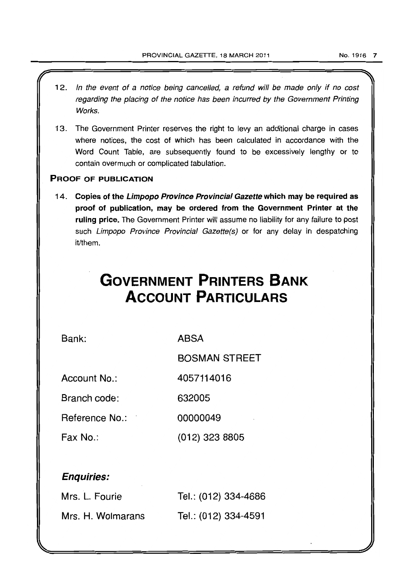- 12. In the event of a notice being cancelled, a refund will be made only if no cost regarding the placing of the notice has been incurred by the Government Printing Works.
- 13. The Government Printer reserves the right to levy an additional charge in cases where notices, the cost of which has been calculated in accordance with the Word Count Table, are subsequently found to be excessively lengthy or to contain overmuch or complicated tabulation.

# PROOF OF PUBLICATION

14. Copies of the Limpopo Province Provincial Gazette which may be required as proof of publication, may be ordered from the Government Printer at the ruling price. The Government Printer will assume no liability for any failure to post such Limpopo Province Provincial Gazette(s) or for any delay in despatching it/them.

# **GOVERNMENT PRINTERS BANK ACCOUNT PARTICULARS**

4057114016

Bank:

**ABSA** 

BOSMAN STREET

Account No.:

Branch code: 632005

Reference No.: 00000049

Fax No.: (012) 323 8805

# Enquiries:

| Mrs. L. Fourie    | Tel.: (012) 334-4686 |
|-------------------|----------------------|
| Mrs. H. Wolmarans | Tel.: (012) 334-4591 |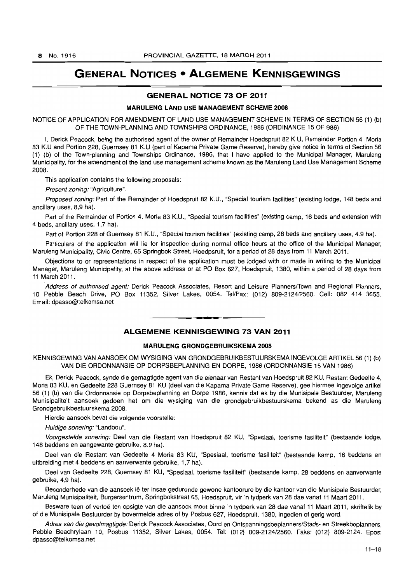# **GENERAL NOTICES • ALGEMENE KENNISGEWINGS**

#### **GENERAL NOTICE 73 OF 2011**

#### **MARULENG LAND USE MANAGEMENT SCHEME** 2008

NOTICE OF APPLICATION FOR AMENDMENT OF LAND USE MANAGEMENT SCHEME IN TERMS OF SECTION 56 (1) (b) OF THE TOWN-PLANNING AND TOWNSHIPS ORDINANCE, 1986 (ORDINANCE 15 OF 986)

I, Derick Peacock, being the authorised agent of the owner of Remainder Hoedspruit 82 K U, Remainder Portion 4 Moria 83 K.U and Portion 228, Guernsey 81 K.U (part of Kapama Private Game Reserve), hereby give notice in terms of Section 56 (1) (b) of the Town-planning and Townships Ordinance, 1986, that I have applied to the Municipal Manager, Maruleng Municipality, for the amendment of the land use management scheme known as the Maruleng Land Use Management Scheme 2008.

This application contains the following proposals:

Present zoning: "Agriculture".

Proposed zoning: Part of the Remainder of Hoedspruit 82 K.U., "Special tourism facilities" (existing lodge, 148 beds and ancillary uses, 8,9 ha).

Part of the Remainder of Portion 4, Moria 83 K.U., "Special tourism facilities" (existing camp, 16 beds and extension with 4 beds, ancillary uses. 1,7 hal.

Part of Portion 228 of Guernsey 81 K.U., "Special tourism facilities" (existing camp, 28 beds and ancillary uses, 4.9 hal.

Particulars of the application will lie for inspection during normal office hours at the office of the Municipal Manager, Maruleng Municipality, Civic Centre, 65 Springbok Street, Hoedpsruit, for a period of 28 days from 11 March 2011.

Objections to or representations in respect of the application must be lodged with or made in writing to the Municipal Manager, Maruleng Municipality, at the above address or at PO Box 627, Hoedspruit, 1380, within a period of 28 days from 11 March 2011.

Address of authorised agent: Derick Peacock Associates, Resort and Leisure Planners/Town and Regional Planners, 10 Pebble Beach Drive, PO Box 11352, Silver Lakes, 0054. Tel/Fax: (012) 809-2124/2560. Cell: 082 414 3655. Email: dpasso@telkomsa.net

### **ALGEMENE KENNISGEWING 73 VAN 2011**

**• •** 

#### **MARULENG GRONDGEBRUIKSKEMA** 2008

KENNISGEWING VAN AANSOEK OM WYSIGING VAN GRONDGEBRUIKBESTUURSKEMA INGEVOLGE ARTIKEL 56 (1) (b) VAN DIE ORDONNANSIE OP DORPSBEPLANNING EN DORPE, 1986 (ORDONNANSIE 15 VAN 1986)

Ek, Derick Peacock, synde die gemagtigde agent van die eienaar van Restant van Hoedspruit 82 KU, Restant Gedeelte 4, Moria 83 KU, en Gedeelte 228 Guernsey 81 KU (deel van die Kapama Private Game Reserve), gee hiermee ingevolge artikel 56 (1) (b) van die Ordonnansie op Dorpsbeplanning en Dorpe 1986, kennis dat ek by die Munisipale Bestuurder, Maruleng Munisipaliteit aansoek gedoen het om die wysiging van die grondgebruikbestuurskema bekend as die Maruleng Grondgebruikbestuurskema 2008.

Hierdie aansoek bevat die volgende voorstelle:

Huidige sonering: "Landbou".

Voorgestelde sonering: Deel van die Restant van Hoedspruit 82 KU, "Spesiaal, toerisme fasiliteit" (bestaande lodge, 148 beddens en aangewante gebruike, 8.9 ha).

Deel van die Restant van Gedeelte 4 Moria 83 KU, "Spesiaal, toerisrne fasiliteit" (bestaande kamp, 16 beddens en uitbreiding met 4 beddens en aanverwante gebruike, 1,7 ha).

Deel van Gedeelte 228, Guernsey 81 KU, "Spesiaal, toerisme fasiliteit" (bestaande kamp, 28 beddens en aanverwante gebruike, 4,9 ha).

Besonderhede van die aansoek Ie ter insae gedurende gewone kantoorure by die kantoor van die Munisipale Bestuurder, Maruleng Munisipaliteit, Burgersentrum, Springbokstraat 65, Hoedspruit, vir 'n tydperk van 28 dae vanaf 11 Maart 2011.

Besware teen of vertoë ten opsigte van die aansoek moet binne 'n tydperk van 28 dae vanaf 11 Maart 2011, skriftelik by of die Munisipale Bestuurder by bovermelde adres of by Posbus 627, Hoedspruit, 1380, ingedien of gerig word.

Adres van die gevolmagtigde: Derick Peacock Associates, Oord en Ontspanningsbeplanners/Stads- en Streekbeplanners, Pebble Beachrylaan 10, Posbus 11352, Silver Lakes, 0054. Tel: (012) 809-2124/2560. Faks: (012) 809-2124. Epos: dpasso@telkomsa.net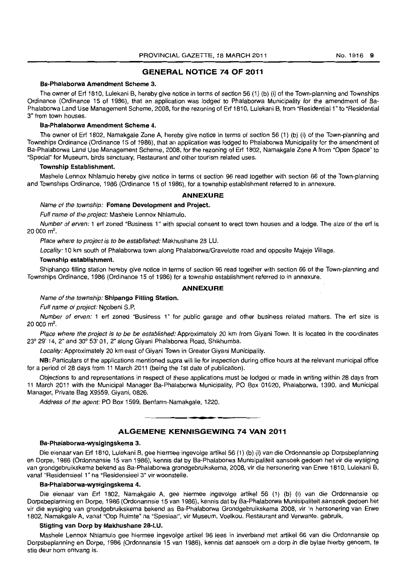#### **GENERAL NOTICE 74 OF 2011**

#### Ba-Phalaborwa Amendment Scheme 3.

The owner of Ert 1810, Lulekani B, hereby give notice in terms of section 56 (1) (b) (i) of the Town-planning and Townships Ordinance (Ordinance 15 of 1986), that an application was lodged to Phalaborwa Municipality for the amendment of Ba-Phalaborwa Land Use Management Scheme, 2008, for the rezoning of Ert 1810, Lulekani B, from "Residential 1" to "Residential 3" from town houses.

#### Ba-Phalaborwa Amendment Scheme 4.

The owner of Ert 1802, Namakgale Zone A, hereby give notice in terms of section 56 (1) (b) (i) of the Town-planning and Townships Ordinance (Ordinance 15 of 1986), that an application was lodged to Phalaborwa Municipality for the amendment of Ba-Phalaborwa Land Use Management Scheme, 2008, for the rezoning of Ert 1802, Namakgale Zone A from "Open Space" to "Special" for Museum, birds sanctuary. Restaurant and other tourism related uses.

#### Township Establishment.

Mashele Lennox Nhlamulo hereby give notice in terms of section 96 read together with section 66 of the Town-planning and Townships Ordinance, 1986 (Ordinance 15 of 1986), for a township establishment referred to in annexure.

#### **ANNEXURE**

Name of the township: Fomane Development and Project.

Full name of the project: Mashele Lennox Nhlamulo.

Number of erven: 1 erf zoned "Business 1" with special consent to erect town houses and a lodge. The size of the erf is 20 000 m<sup>2</sup>.

Place where to project is to be established: Makhushane 28 LU.

Locality: 10 km south of Phalaborwa town along Phalaborwa/Gravelotte road and opposite Majeje Village.

#### Township establishment.

Shiphango filling station hereby give notice in terms of section 96 read together with section 66 of the Town-planning and Townships Ordinance, 1986 (Ordinance 15 of 1986) for a township establishment referred to in annexure.

#### **ANNEXURE**

Name of the township: Shipango Filling Station.

Full name of project: Ngobeni S.P.

Number of erven: 1 ert zoned "Business 1" for public garage and other business related matters. The erf size is 20 000 m².

Place where the project is to be be established: Approximately 20 km from Giyani Town. It is located in the coordinates 23° 29' 14, 2" and 30° 53' 01,2" along Giyani Phalaborwa Road, Shikhumba.

Locality: Approximately 20 km east of Giyani Town in Greater Giyani Municipality.

NB: Particulars of the applications mentioned supra will lie for inspection during office hours at the relevant municipal office for a period of 28 days from 11 March 2011 (being the 1st date of publication).

Objections to and representations in respect of these applications must be lodged or made in writing within 28 days from 11 March 2011 with the Municipal Manager Ba-Phalaborwa Municipality. PO Box 01020, Phalaborwa, 1390, and Municipal Manager, Private Bag X9559, Giyani, 0826.

Address of the agent: PO Box 1599, Benfarm-Namakgale, 1220 . . **\_.** 

#### **ALGEMENE KENNISGEWING 74 VAN 2011**

#### Ba-Phalaborwa-wysigingskema 3.

Die eienaar van Ert 1810, Lulekani B. gee hiermee ingevolge artikel 56 (1) (b) (i) van die Ordonnansie op Dorpsbeplanning en Dorpe, 1986 (Ordonnansie 15 van 1986), kennis dat by Ba-Phalaborwa Munisipaliteit aansoek gedoen het vir die wysiging van grondgebruikskema bekend as Ba-Phalaborwa grondgebruikskema. 2008, vir die hersonering van Erwe 1810. Lulekani B. vanaf "Residensieel 1" na "Residensieel 3" vir woonstelle.

#### Ba-Phalaborwa-wysigingskema 4.

Die eienaar van Ert 1802, Namakgale A, gee hiermee ingevolge artikel 56 (1) (b) (i) van die Ordonnansie op Dorpsbeplanning en Dorpe, 1986 (Ordonannsie 15 van 1986), kennis dat by Ba-Phalaborwa Munisipaliteit aansoek gedoen het vir die wysiging van grondgebruikskema bekend as Ba-Phalaborwa Grondgebruikskema 2008, vir 'n hersonering van Erwe 1802, Namakgale A, vanaf "Oop Ruimte" na "Spesiaal", vir Museum, Voelkou, Restaurant and Verwante. gebruik.

#### Stigting van Dorp by Makhushane 28-LU.

Mashele Lennox Nhlamulo gee hiermee ingevolge artikel 96 lees in inverband met artikel 66 van die Ordonnansie op Dorpsbeplanning en Dorpe, 1986 (Ordonnansie 15 van 1986). kennis dat aansoek om a dorp in die bylae hierby genoem, te stig deur hom ontvang is.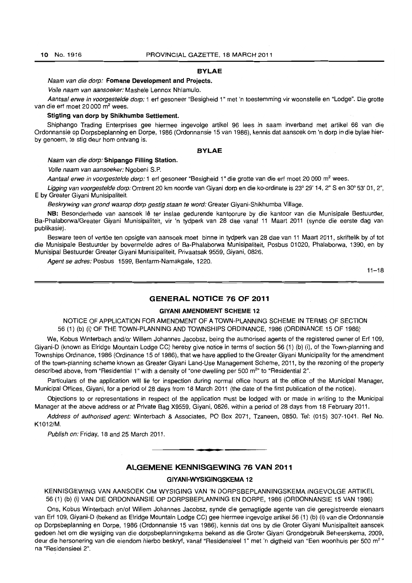#### **BYLAE**

Naam van die dorp: **Fomane Development and Projects.** 

Volle naam van aansoeker: Mashele Lennox Nhlamulo.

Aantaal erwe in voorgestelde dorp: 1 erf gesoneer "Besigheid 1" met 'n toestemming vir woonstelle en "Lodge". Die grotte van die erf moet 20 000 m<sup>2</sup> wees.

#### **Stigting van dorp by Shikhumba Settlement.**

Shiphango Trading Enterprises gee hiermee ingevolge artikel 96 lees in saam inverband met artikel 66 van die Ordonnansie op Dorpsbeplanning en Dorpe, 1986 (Ordonnansie 15 van 1986), kennis dat aansoek om 'n dorp in die bylae hierby genoem, te stig deur hom ontvang is.

#### **BYLAE**

#### Naam van die dorp: **Shipango Filling Station.**

Volle naam van aansoeker: Ngobeni S.P.

Aantaal erwe in voorgestelde dorp: 1 erf gesoneer "Besigheid 1" die grotte van die erf moet 20 000 m<sup>2</sup> wees.

Ligging van voorgestelde dorp: Omtrent 20 km noorde van Giyani dorp en die ko-ordinate is 23° 29' 14, 2" S en 30° 53' 01, 2", E by Greater Giyani Munisipaliteit.

Beskrywing van grond waarop dorp gestig staan te word: Greater Giyani-Shikhumba Village.

**NB:** Besonderhede van aansoek Ie ter inslae gedurende kantoorure by die kantoor van die Munisipale Bestuurder, Ba-Phalaborwa/Greater Giyani Munisipaliteit, vir 'n tydperk van 28 dae vanaf 11 Maart 2011 (synde die eerste dag van publikasie).

Besware teen of vertoe ten opsigte van aansoek moet binne in tydperk van 28 dae van 11 Maart 2011, skriftelik by of tot die Munisipale Bestuurder by bovermelde adres of Ba-Phalaborwa Munisipaliteit, Posbus 01020, Phalaborwa, 1390, en by Munisipal Bestuurder Greater Giyani Munisipaliteit, Privaatsak 9559, Giyani, 0826.

Agent se adres: Posbus 1599, Benfarm-Namakgale, 1220.

 $11 - 18$ 

#### **GENERAL NOTICE 76 OF 2011**

#### **GIYANI AMENDMENT SCHEME 12**

NOTICE OF APPLICATION FOR AMENDMENT OF A TOWN-PLANNING SCHEME IN TERMS OF SECTION 56 (1) (b) (il OF THE TOWN-PLANNING AND TOWNSHIPS ORDINANCE, 1986 (ORDINANCE 15 OF 1986)

We, Kobus Winterbach and/or Willem Johannes Jacobsz, being the authorised agents of the registered owner of Erf 109, Giyani-D (known as Elridge Mountain Lodge CC) hereby give notice in terms of section 56 (1) (b) (i), of the Town-planning and Townships Ordinance, 1986 (Ordinance 15 of 1986), that we have applied to the Greater Giyani Municipality for the amendment of the town-planning scheme known as Greater Giyani Land-Use Management Scheme, 2011, by the rezoning of the property described above, from "Residential 1" with a density of "one dwelling per 500 m<sup>2</sup>" to "Residential 2".

Particulars of the application will lie for inspection during normal office hours at the office of the Municipal Manager, Municipal Offices, Giyani, for a period of 28 days from 18 March 2011 (the date of the first publication of the notice).

Objections to or representations in respect of the application must be lodged with or made in writing to the Municipal Manager at the above address or at Private Bag X9559, Giyani, 0826, within a period of 28 days from 18 February 2011.

Address of authorised agent: Winterbach & Associates, PO Box 2071, Tzaneen, 0850. Tel: (015) 307-1041. Ref No. K1012/M.

Publish on: Friday, 18 and 25 March 2011.

#### **ALGEMENE KENNISGEWING 76 VAN 2011**

. **-.** 

#### **GIYANI-WYSIGINGSKEMA 12**

KENNISGEWING VAN AANSOEK OM WYSIGING VAN 'N DORPSBEPLANNINGSKEMA INGEVOLGE ARTIKEL 56 (1) (b) (i) VAN DIE ORDONNANSIE OP DORPSBEPLANNING EN DORPE, 1986 (ORDONNANSIE 15 VAN 1986)

Ons, Kobus Winterbach en/of Willem Johannes Jacobsz, synde die gemagtigde agente van die geregistreerde eienaars van Erf 109, Giyani-D (bekend as Elridge Mountain Lodge CC) gee hiermee ingevolge artikel 56 (1) (b) (i) van die Ordonnansie op Dorpsbeplanning en Dorpe, 1986 (Ordonnansie 15 van 1986), kennis dat ons by die Groter Giyani Munisipaliteit aansoek gedoen het om die wysiging van die dorpsbeplanningskema bekend as die Groter Giyani Grondgebruik Beheerskema, 2009, deur die hersonering van die eiendom hierbo beskryf, vanaf "Residensieel 1" met 'n digtheid van "Een woonhuis per 500 m<sup>2</sup>" na "Residensieel 2".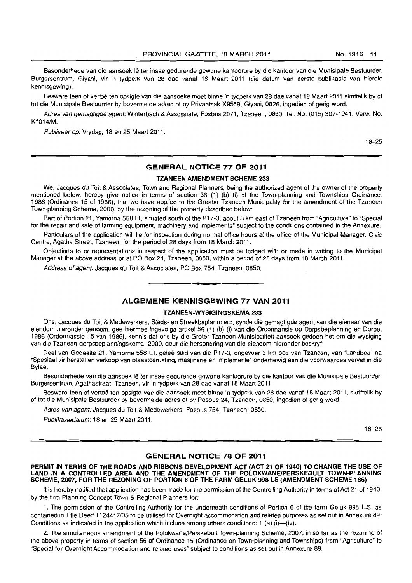Besonderhede van die aansoek lê ter insae gedurende gewone kantoorure by die kantoor van die Munisipale Bestuurder, Burgersentrum, Giyani, vir 'n tydperk van 28 dae vanaf 18 Maart 2011 (die datum van eerste publikasie van hierdie kennisgewing).

Besware teen of vertoë ten opsigte van die aansoeke moet binne 'n tydperk van 28 dae vanaf 18 Maart 2011 skriftelik by of tot die Munisipale Bestuurder by bovermelde adres of by Privaatsak X9559, Giyani, 0826, ingedien of gerig word.

Adres van gemagtigde agent: Winterbach & Assossiate, Posbus 2071, Tzaneen, 0850. Tel. No. (015) 307-1041. Verw. No. K1014/M.

Publiseer op: Vrydag, 18 en 25 Maart 2011.

18-25

#### **GENERAL NOTICE 77 OF 2011**

#### **TZANEEN AMENDMENT SCHEME 233**

We, Jacques du Toit & Associates, Town and Regional Planners, being the authorized agent of the owner of the property mentioned below, hereby give notice in terms of section 56 (1) (b) (i) of the Town-planning and Townships Ordinance, 1986 (Ordinance 15 of 1986), that we have applied to the Greater Tzaneen Municipality for the amendment of the Tzaneen Town-planning Scheme, 2000, by the rezoning of the property described below:

Part of Portion 21, Yamorna 558 LT, situated south of the P17-3, about 3 km east of Tzaneen from "Agriculture" to "Special for the repair and sale of farming equipment, machinery and implements" subject to the conditions contained in the Annexure.

Particulars of the application will lie for inspection during normal office hours at the office of the Municipal Manager, Civic Centre, Agatha Street, Tzaneen, for the period of 28 days from 18 March 2011.

Objections to or representations in respect of the application must be lodged with or made in writing to the Municipal Manager at the above address or at PO Box 24, Tzaneen, 0850, within a period of 28 days from 18 March 2011.

Address of agent: Jacques du Toit & Associates, PO Box 754, Tzaneen, 0850.

#### **ALGEMENE KENNISGEWING 77 VAN 2011**

#### **TZANEEN-WVSIGINGSKEMA 233**

**• •** 

Ons, Jacques du Toit & Medewerkers, Stads- en Streekbeplannners, synde die gemagtigde agent *van* die eienaar van die eiendom hieronder genoem, gee hiermee ingevolge artikel 56 (1) (b) (i) van die Ordonnansie op Dorpsbeplanning en Dorpe, 1986 (Ordonnansie 15 van 1986), kennis dat ons by die Groter Tzaneen Munisipaliteit aansoek gedoen het om die wysiging van die Tzaneen-dorpsbeplanningskema, 2000, deur die hersonering van die eiendom hieronder beskryf:

Deel van Gedeelte 21, Yamorna 558 LT, gelee suid van die P17-3, ongeveer 3 km oos *van* Tzaneen, van "Landbou" na "Spesiaal vir herstel en verkoop *van* plaastoerusting, masjinerie en implemente" onderhewig aan die voorwaardes *vervat* in die Bylae.

Besonderhede van die aansoek Ie ter insae gedurende gewone kantoorure by die kantoor *van* die Munisipale Bestuurder, Burgersentrum, Agathastraat, Tzaneen, vir 'n tydperk *van* 28 dae vanaf 18 Maart 2011.

Besware teen of vertoe ten opsigte van die aansoek moet binne 'n tydperk van 28 dae vanaf 18 Maart 2011, skriftelik by of tot die Munisipale Bestuurder by bovermelde adres of by Posbus 24, Tzaneen, 0850, ingedien of gerig word.

Adres van agent: Jacques du Toit & Medewerkers, Posbus 754, Tzaneen, 0850.

Publikasiedatum: 18 en 25 Maart 2011.

18-25

#### **GENERAL NOTICE 78 OF 2011**

**PERMIT IN TERMS OF THE ROADS AND RIBBONS DEVELOPMENT ACT (ACT 21 OF 1940) TO CHANGE THE USE OF LAND IN A CONTROLLED AREA AND THE AMENDMENT OF THE POLOKWANEIPERSKEBULT TOWN·PLANNING SCHEME, 2007, FOR THE REZONING OF PORTION 6 OF THE FARM GELUK 998 LS (AMENDMENT SCHEME 186)** 

It is hereby notified that application has been made for the permission of the Controlling Authority in terms of Act 21 of 1940, by the firm Planning Concept Town & Regional Planners for:

1. The permission of the Controlling Authority for the underneath conditions of Portion 6 of the farm Geluk 998 L.S. as contained in Title Deed T124417/05 to be utilised for Overnight accommodation and related purposes as set out in Annexure 89; Conditions as indicated in the application which include among others conditions: 1 (a)  $(i)$ — $(iv)$ .

2. The simultaneous amendment of the Polokwane/Perskebult Town-planning Scheme, 2007, in so far as the rezoning of the above property in terms of section 56 of Ordinance 15 (Ordinance on Town-planning and Townships) from "Agriculture" to "Special for Overnight Accommodation and related uses" subject to conditions as set out in Annexure 89.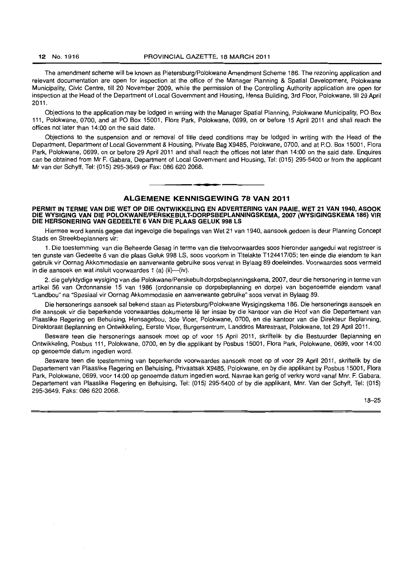The amendment scheme will be known as Pietersburg/Polokwane Amendment Scheme 186. The rezoning application and relevant documentation are open for inspection at the office of the Manager Planning & Spatial Development, Polokwane Municipality, Civic Centre, till 20 November 2009, while the permission of the Controlling Authority application are open for inspection at the Head of the Department of Local Government and Housing, Hensa Building, 3rd Floor, Polokwane, till 29 April 2011.

Objections to the application may be lodged in writing with the Manager Spatial Planning, Polokwane Municipality, PO Box 111, Polokwane, 0700, and at PO Box 15001, Flora Park. Polokwane. 0699, on or before 15 April 2011 and shall reach the offices not later than 14:00 on the said date.

Objections to the suspension and or removal of title deed conditions may be lodged in writing with the Head of the Department, Department of Local Government & Housing, Private Bag X9485, Polokwane, 0700, and at P.O. Box 15001, Flora Park, Polokwane, 0699, on or before 29 April 2011 and shall reach the offices not later than 14:00 on the said date. Enquires can be obtained from Mr F. Gabara, Department of Local Government and Housing, Tel: (015) 295·5400 or from the applicant Mr van der Schyff, Tel: (015) 295-3649 or Fax: 086 620 2068.

#### ALGEMENE KENNISGEWING 78 VAN 2011

**• •** 

#### PERMIT IN TERME VAN DIE WET OP DIE ONTWIKKELING EN ADVERTERING VAN PAAIE, WET 21 VAN 1940, ASOOK DIE WYSIGING VAN DIE POLOKWANEIPERSKEBULT-DORPSBEPLANNINGSKEMA, 2007 (WYSIGINGSKEMA 186) VIR DIE HERSONERING VAN GEDEELTE 6 VAN DIE PLAAS GELUK 998 LS

Hiermee word kennis gegee dat ingevolge die bepalings van Wet 21 van 1940, aansoek gedoen is deur Planning Concept Stads en Streekbeplanners vir:

1. Die toestemming van die Beheerde Gesag in terme van die titelvoorwaardes soos hieronder aangedui wat registreer is ten gunste van Gedeelte 6 van die plaas Geluk 998 LS, soos voorkom in Titelakte T124417/05; ten einde die eiendom te kan gebruik vir Oornag Akkommodasie en aanverwante gebruike soos vervat in Bylaag 89 doeleindes. Voorwaardes soos vermeld in die aansoek en wat insluit voorwaardes 1 (a) (ii)-(iv).

2. die gelyktydige wysiging van die Polokwane/Perskebult-dorpsbeplanningskema, 2007, deur die hersonering in terme van artikel 56 van Ordonnansie 15 van 1986 (ordonnansie op dorpsbeplanning en dorpe) van bogenoemde eiendom vanaf "Landbou" na "Spesiaal vir Oornag Akkommodasie en aanverwante gebruike" soos vervat in Bylaag 89.

Die hersonerings aansoek sal bekend staan as Pietersburg/Polokwane Wysigingskema 186. Die hersonerings aansoek en die aansoek vir die beperkende voorwaardes dokumente lê ter insae by die kantoor van die Hoof van die Departement van Plaaslike Regering en Behuising, Hensagebou, 3de Vloer, Polokwane, 0700, en die kantoor van die Direkteur Beplanning, Direktoraat Beplanning en Ontwikkeling, Eerste Vloer, Burgersentrum, Landdros Marestraat, Polokwane, tot 29 April 2011.

Besware teen die hersonerings aansoek moet op of voor 15 April 2011, skriftelik by die Bestuurder Beplanning en Ontwikkeling, Posbus 111, Polokwane, 0700, en by die applikant by Posbus 15001, Flora Park, Polokwane, *0699,* voor 14:00 op genoemde datum ingedien word.

Besware teen die toestemming van beperkende voorwaardes aansoek moet op of voor 29 April 2011, skriftelik by die Departement van Plaaslike Regering en Behuising, Privaatsak X9485, Polokwane, en by die applikant by Posbus 15001, Flora Park, Polokwane, 0699, voor 14:00 op genoemde datum ingedien word. Navrae kan gerig of verkry word vanaf Mnr. F. Gabara, Departement van Plaaslike Regering en Behuising, Tel: (015) 295-5400 of by die applikant, Mnr. Van der Schyff, Tel: (015) 295-3649. Faks: *086* 620 2068.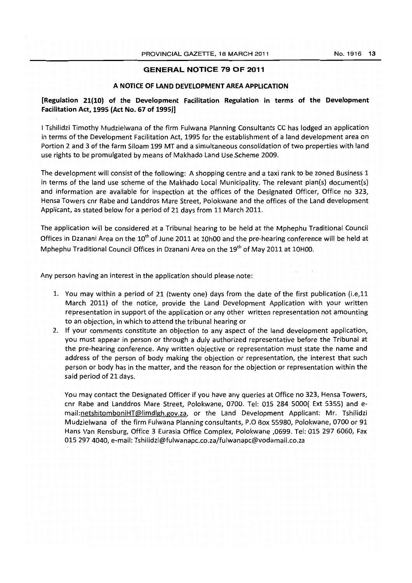#### **GENERAL NOTICE 79 OF 2011**

#### **A NOTICE OF LAND DEVELOPMENT AREA APPLICATION**

#### **[Regulation 21(10) of the Development Facilitation Regulation in terms of the Development Facilitation Act, 1995 (Act No. 67 of 1995)]**

I Tshilidzi Timothy Mudzielwana of the firm Fulwana Planning Consultants CC has lodged an application in terms of the Development Facilitation Act, 1995 for the establishment of a land development area on Portion 2 and 3 of the farm Siloam 199 MT and a simultaneous consolidation of two properties with land use rights to be promulgated by means of Makhado Land Use Scheme 2009.

The development will consist of the following: A shopping centre and a taxi rank to be zoned Business 1 in terms of the land use scheme of the Makhado Local Municipality. The relevant plan(s) document(s) and information are available for inspection at the offices of the Designated Officer, Office no 323, Hensa Towers cnr Rabe and Landdros Mare Street, Polokwane and the offices of the Land development Applicant, as stated below for a period of 21 days from 11 March 2011.

The application will be considered at a Tribunal hearing to be held at the Mphephu Traditional Council Offices in Dzanani Area on the 10<sup>th</sup> of June 2011 at 10h00 and the pre-hearing conference will be held at Mphephu Traditional Council Offices in Dzanani Area on the 19<sup>th</sup> of May 2011 at 10H00.

Any person having an interest in the application should please note:

- 1. You may within a period of 21 (twenty one) days from the date of the first publication (i.e.11 March 2011) of the notice, provide the Land Development Application with your written representation in support of the application or any other written representation not amounting to an objection, in which to attend the tribunal hearing or
- 2. If your comments constitute an objection to any aspect of the land development application, you must appear in person or through a duly authorized representative before the Tribunal at the pre-hearing conference. Any written objective or representation must state the name and address of the person of body making the objection or representation, the interest that such person or body has in the matter, and the reason for the objection or representation within the said period of 21 days.

You may contact the Designated Officer if you have any queries at Office no 323, Hensa Towers, cnr Rabe and Landdros Mare Street, Polokwane, 0700. Tel: 015 284 5000( Ext 5355) and email:netshitomboniHT@limdlgh.gov.za, or the Land Development Applicant: Mr. Tshilidzi Mudzielwana of the firm Fulwana Planning consultants, P.O Box 55980, Polokwane, 0700 or 91 Hans Van Rensburg, Office 3 Eurasia Office Complex, Polokwane ,0699. Tel: 015 297 6060, Fax 015 2974040, e-mail: Tshilidzi@fulwanapc.co.za/fulwanapc@vodamail.co.za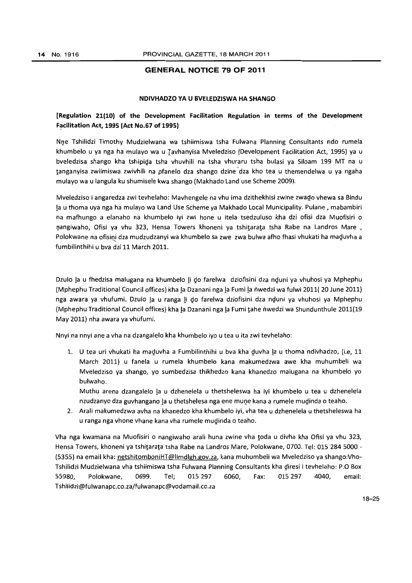#### **GENERAL NOTICE 79 OF 2011**

#### **NDIVHADZO VA U BVELEDZISWA HA SHANGO**

### **[Regulation 21(10) of the Development Facilitation Regulation in terms of** . the **Development Facilitation Act, 1995 (Act No.67 of 1995)**

Nne Tshilidzi Timothy Mudzielwana wa tshiimiswa tsha Fulwana Planning Consultants ndo rumela khumbelo u va nga ha mulavo wa u Tavhanvisa Mveledziso (Development Facilitation Act, 1995) va u bveledzisa shango kha tshipida tsha vhuvhili na tsha vhuraru tsha bulasi ya Siloam 199 MT na u tanganvisa zwiimiswa zwivhili na pfanelo dza shango dzine' dza kho tea u themendelwa u va ngaha mulayo wa u langula ku shumisele kwa shango (Makhado Land use Scheme 2009).

Mveledziso i angaredza zwi tevhelaho: Mavhengele na vhu ima dzithekhisi zwine zwado vhewa sa Bindu Ia u thoma uya nga ha mulavo wa Land Use Scheme ya Makhado Local Municipality. Pulane , mabambiri na mafhungo a elanaho na khumbelo iyi zwi hone u itela tsedzuluso kha dzi ofisi dza Muofisiri o nangiwaho, Ofisi ya vhu 323, Hensa Towers khoneni ya tshitarata tsha Rabe na Landros Mare, Polokwane na ofisini dza mudzudzanyi wa khumbelo sa zwe zwa bulwa afho fhasi vhukati ha maduvha a fumbilinthihi u bva dzi 11 March 2011.

Dzulo la u fhedzisa malugana na khumbelo li do farelwa dziofisini dza nduni ya vhuhosi ya Mphephu (Mphephu Traditional Council offices) kha Ia Dzanani nga Ia Fumi Ia nwedzi wa fulwi 2011( 20 June 2011) nga awara ya vhufumi. Dzulo la u ranga li do farelwa dziofisini dza nduni ya vhuhosi ya Mphephu (Mphephu Traditional Council offices) kha Ia Dzanani nga Ia Fumi tahe nwedzi wa Shundunthule 2011(19 May 2011) nha awara ya vhufumi.

Nnvi na nnvi ane a vha na dzangalelo kha khumbelo iyo u tea u ita zwi tevhelaho:

1. U tea uri vhukati ha maduvha a Fumbilinthihi u bva kha duvha la u thoma ndivhadzo, (i.e, 11 March 2011) u fanela u rumela khumbelo kana makumedzwa awe kha muhumbeli wa Mveledziso ya shango, yo sumbedzisa thikhedzo kana khanedzo malugana na khumbelo yo bulwaho.

Muthu arena dzangalelo Ia u dzhenelela u thetsheleswa ha iyi khumbelo u tea u dzhenelela nzudzanyo dza guvhangano la u thetshelesa nga ene mune kana a rumele mudinda o teaho.

2. Arali makumedzwa avha na khanedzo kha khumbelo iyi, vha tea u dzhenelela u thetsheleswa ha u ranga nga vhone vhane kana vha rumele mudinda o teaho.

Vha nga kwamana na Muofisiri 0 nangiwaho arali huna zwine vha toda u divha kha Ofisi ya vhu 323, Hensa Towers, khoneni ya tshitarata tsha Rabe na Landros Mare, Polokwane, 0700. Tel: 015 2845000 - (5355) na email kha: netshitomboniHT@limdlgh.gov.za, kana muhumbeli wa Mveledziso ya shango:Vho-Tshilidzi Mudzielwana vha tshiimiswa tsha Fulwana Planning Consultants kha diresi i tevhelaho: P.O Box 55980, Polokwane, 0699. Tel; 015 297 6060, Fax: 015 297 4040, email: Tshilidzi@fulwanapc.co.za/fulwanapc@vodamail.co.za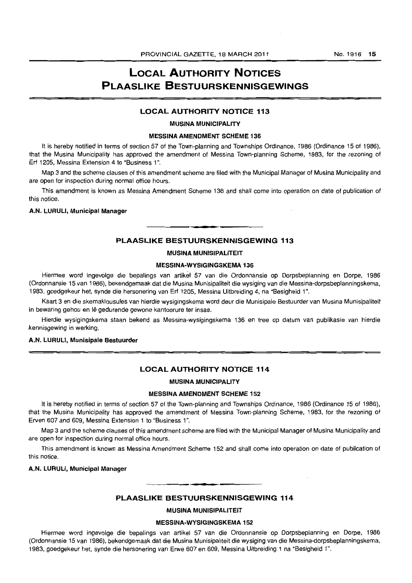# **LOCAL AUTHORITY NOTICES PLAASLIKE BESTUURSKENNISGEWINGS**

#### **LOCAL AUTHORITY NOTICE 113**

#### **MUSINA MUNICIPALITY**

#### MESSINA AMENDMENT **SCHEME 136**

It is hereby notified in terms of section 57 of the Town-planning and Townships Ordinance, 1986 (Ordinance 15 of 1986), that the Musina Municipality has approved the amendment of Messina Town-planning Scheme, 1983, for the rezoning of Erf 1205, Messina Extension 4 to "Business 1".

Map 3 and the scheme clauses of this amendment scheme are filed with the MuniCipal Manager of Musina Municipality and are open for inspection during normal office hours.

This amendment is known as Messina Amendment Scheme 136 and shall come into operation on date of publication of this notice.

#### **A.N. LURULI, Municipal Manager**

#### **PLAASUKE BESTUURSKENNISGEWING 113**

#### **MUSINA MUNISIPALITEIT**

#### **MESSINA-WYSIGINGSKEMA 136**

Hiermee word ingevolge die bepalings *van* artikel57 van die Ordonnansie op Dorpsbeplanning en Dorpe, 1986 (Ordonnansie 15 van 1986), bekendgemaak dat die Musina Munisipaliteit die wysiging van die Messina-dorpsbeplanningskema, 1983, goedgekeur het, synde die hersonering van Erf 1205, Messina Uitbreiding 4, na "Besigheid 1".

Kaart 3 en die skemaklousules *van* hierdie wysigingskema word deur die Munisipale Bestuurder van Musina Munisipaliteit in bewaring gehou en Iê gedurende gewone kantoorure ter insae.

Hierdie wysigingskema staan bekend as Messina-wysigingskema 136 en tree op datum *van* publikasie van hierdie kennisgewing in werking.

#### **A.N. LURULI, Munisipale Bestuurder**

#### **LOCAL AUTHORITY NOTICE 114**

#### **MUSINA MUNICIPALITY**

#### **MESSINA AMENDMENT SCHEME 152**

It is hereby notified in terms of section 57 of the Town-planning and Townships Ordinance, 1986 (Ordinance 15 of 1986), that the Musina Municipality has approved the amendment of Messina Town-planning Scheme, 1983, for the rezoning of Erven 607 and 609, Messina Extension 1 to "Business 1".

Map 3 and the scheme clauses of this amendment scheme are filed with the Municipal Manager of Musina Municipality and are open for inspection during normal office hours.

This amendment is known as Messina Amendment Scheme 152 and shall come into operation on date of publication of this notice.

#### **A.N. LURULI, Municipal Manager**

### • **- I PLAASLIKE BESTUURSKENNISGEWING 114**

**MUSINA MUNISIPALITEIT** 

#### **MESSINA-WYSIGINGSKEMA 152**

Hiermee word ingevolge die bepalings van artikel 57 van die Ordonnansie op Dorpsbeplanning en Dorpe, 1986 (Ordonnansie 15 van 1986), bekendgemaak dat die Musina Munisipaliteit die wysiging van die Messina-dorpsbeplanningskema, 1983, goedgekeur het, synde die hersonering van Erwe 607 en 609, Messina Uitbreiding 1 na "Besigheid 1".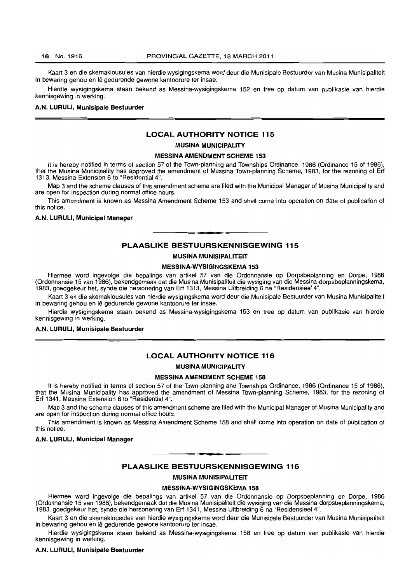Kaart 3 en die skemaklousules van hierdie wysigingskema word deur die Munisipale Bestuurder van Musina Munisipaliteit in bewaring gehou en lê gedurende gewone kantoorure ter insae.

Hierdie wysigingskema staan bekend as Messina-wysigingskema 152 en tree op datum van publikasie van hierdie kennisgewing in werking.

#### A.N. lURULI, Munisipale Bestuurder

#### LOCAL AUTHORITY NOTICE 115

#### MUSINA MUNICIPALITY

#### MESSINA AMENDMENT SCHEME 153

It is hereby notified in terms of section 57 of the Town-planning and Townships Ordinance, 1986 (Ordinance 15 of 1986), that the Musina Municipality has approved the amendment of Messina Town-planning Scheme, 1983, for the rezoning of Erf 1313, Messina Extension 6 to "Residential 4",

Map 3 and the scheme clauses of this amendment scheme are filed with the Municipal Manager of Musina Municipality and are open for inspection during normal office hours.

This amendment is known as Messina Amendment Scheme 153 and shall come into operation on date of publication of this notice.

#### A.N. lURUlI, Municipal Manager

# **•**  PLAASLIKE BESTUURSKENNISGEWING 115

#### MUSINA MUNISIPAlITEIT

#### MESSINA-WYSIGINGSKEMA 153

Hiermee word ingevolge die bepalings van artikel 57 van die Ordonnansie op Dorpsbeplanning en Dorpe, 1986 (Ordonnansie 15 van 1986), bekendgemaak dat die Musina Munisipaliteit die wysiging van die Messina-dorpsbeplanningskema, 1983, goedgekeur het, synde die hersonering van Erf 1313, Messina Uitbreiding 6 na "Residensieel 4",

Kaart 3 en die skemaklousules van hierdie wysigingskema word deur die Munisipale Bestuurder van Musina Munisipaliteit in bewaring gehou en lê gedurende gewone kantoorure ter insae.

Hierdie wysigingskema staan bekend as Messina-wysigingskema 153 en tree op datum van publikasie van hierdie kennisgewing in werking.

#### A.N. lURULI, Munisipale Bestuurder

#### LOCAL AUTHORITY NOTICE 116

#### MUSINA MUNICIPALITY

#### MESSINA AMENDMENT SCHEME 158

It is hereby notified in terms of section 57 of the Town-planning and Townships Ordinance, 1986 (Ordinance 15 of 1986), that the Musina Municipality has approved the amendment of Messina Town-planning Scheme, 1983, for the rezoning of Erf 1341, Messina Extension 6 to "Residential 4",

Map 3 and the scheme clauses of this amendment scheme are filed with the Municipal Manager of Musina Municipality and are open for inspection during normal office hours,

This amendment is known as Messina Amendment Scheme 158 and shall come into operation on date of publication of this notice.

#### A.N. LURULI, Municipal Manager

. **- .** 

#### PLAASLIKE BESTUURSKENNISGEWING 116

#### MUSINA MUNISIPALITEIT

#### MESSINA~WYSIGINGSKEMA 158

Hiermee word ingevolge die bepalings van artikel 57 van die Ordonnansie op Dorpsbeplanning en Dorpe, 1986 (Ordonnansie 15 van 1986), bekendgemaak dat die Musina Munisipaliteit die wysiging van die Messina-dorpsbeplanningskema, 1983, goedgekeur het, synde die hersonering van Erf 1341, Messina Uitbreiding 6 na "Residensieel 4".

Kaart 3 en die skemaklousules van hierdie wysigingskema word deur die Munisipale Bestuurder van Musina Munisipaliteit in bewaring gehou en lê gedurende gewone kantoorure ter insae.

Hierdie wysigingskema staan bekend as Messina-wysigingskema 158 en tree op datum van publikasie van hierdie kennisgewing in werking,

#### A.N. LURUlI, Munisipale Bestuurder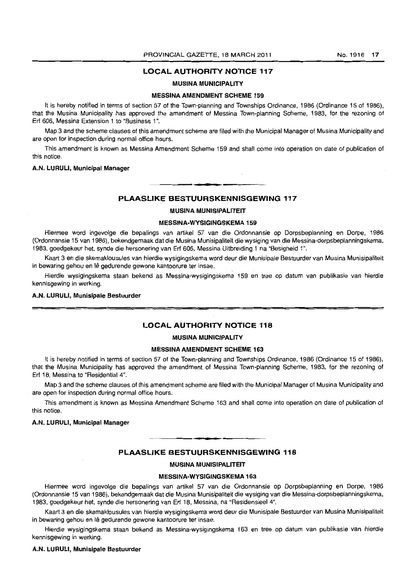#### **LOCAL AUTHORITY NOTICE 117**

#### **MUSINA MUNICIPALITY**

#### **MESSINA AMENDMENT SCHEME 159**

It is hereby notified in terms of section 57 of the Town-planning and Townships Ordinance, 1986 (Ordinance 15 of 1986), that the Musina Municipality has approved the amendment of Messina Town-planning Scheme, 1983. for the rezoning of Erf 606. Messina Extension 1 to "Business 1 ".

Map 3 and the scheme clauses of this amendment scheme are filed with the Municipal Manager of Musina Municipality and are open for inspection during normal office hours.

This amendment is known as Messina Amendment Scheme 159 and shall come into operation on date of publication of this notice.

#### **A.N. LURULI, Municipal Manager**

#### . **- . PLAASLIKE BESTUURSKENNISGEWING 117**

#### **MUSINA MUNISIPALITEIT**

#### **MESSINA-WYSIGINGSKEMA 159**

Hiermee word ingevolge die bepalings van artikel 57 van die Ordonnansie op Dorpsbeplanning en Dorpe, 1986 (Ordonnansie 15 *van* 1986), bekendgemaak dat die Musina Munisipaliteit die wysiging *van* die Messina-dorpsbeplanningskema, 1983, goedgekeur het, synde die hersonering van Erf 606, Messina Uitbreiding 1 na "Besigheid 1".

Kaart 3 en die skemaklousules van hierdie wysigingskema word deur die Munisipale Bestuurder van Musina Munisipaliteit in bewaring gehou en lê gedurende gewone kantoorure ter insae.

Hierdie wysigingskema staan bekend as Messina-wysigingskema 159 en tree op datum *van* publikasie *van* hierdie kennisgewing in werking.

#### **A.N. LURULI, Munisipale Bestuurder**

#### **LOCAL AUTHORITY NOTICE 118**

#### **MUSINA MUNICIPALITY**

#### **MESSINA AMENDMENT SCHEME 163**

It is hereby notified in terms of section 57 of the Town-planning and Townships Ordinance, 1986 (Ordinance 15 of 1986), that the Musina Municipality has approved the amendment of Messina Town-planning Scheme, 1983, for the rezoning of Erf 18. Messina to "Residential 4".

Map 3 and the scheme clauses of this amendment scheme are filed with the Municipal Manager of Musina Municipality and are open for inspection during normal office hours.

This amendment is known as Messina Amendment Scheme 163 and shall come into operation on date of publication of this notice.

#### **A.N. LURULI, Municipal Manager**

#### **PLAASLIKE BESTUURSKENNISGEWING 118**

**• I** 

#### **MUSINA MUNISIPALITEIT**

#### **MESSINA-WYSIGINGSKEMA 163**

Hiermee word ingevolge die bepalings *van* artikel 57 *van* die Ordonnansie op Dorpsbeplanning en Dorpe, 1986 (OrdonnanSie 15 *van* 1986), bekendgemaak dat die Musina Munisipaliteit die wysiging *van* die Messina-dorpsbeplanningskema, 1983. goedgekeur het, synde die hersonering van Erf 18, Messina, na "ResidensieeI4".

Kaart 3 en die skemaklousules van hierdie wysigingskema word deur die Munisipale Bestuurder *van* Musina Munisipaliteit in bewaring gehou en Iê gedurende gewone kantoorure ter insae.

Hierdie wysigingskema staan bekend as Messina-wysigingskema 163 en tree op datum *van* publikasie van hierdie kennisgewing in werking.

#### **A.N. LURULI, Munisipale Bestuurder**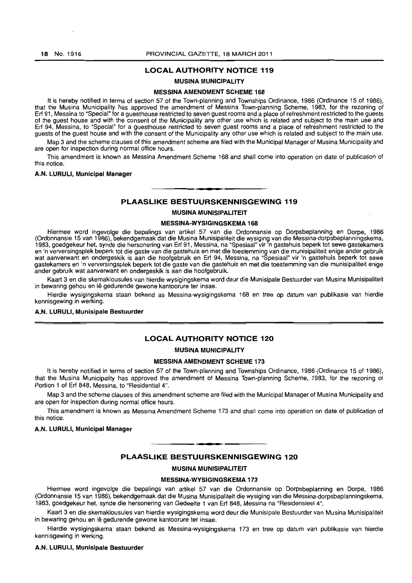#### 18 No. 1916 **PROVINCIAL GAZETTE, 18 MARCH 2011**

#### LOCAL AUTHORITY NOTICE 119

#### MUSINA MUNICIPALITY

#### MESSINA AMENDMENT SCHEME 168

It is hereby notified in terms of section 57 of the Town-planning and Townships Ordinance, 1986 (Ordinance 15 of 1986), that the Musina Municipality has approved the amendment of Messina Town-planning Scheme, 1983, for the rezoning of Erf 91, Messina to "Special" for a guesthouse restricted to seven guest rooms and a place of refreshment restricted to the guests of the guest house and with the consent of the Municipality any other use which is related and subject to the main use and Erf 94, Messina, to "Special" for a guesthouse restricted to seven guest rooms and a place of refreshment restricted to the guests of the guest house and with the consent of the Municipality any other use which is related and subject to the main use.

Map 3 and the scheme clauses of this amendment scheme are filed with the Municipal Manager of Musina Municipality and are open for inspection during normal office hours.

This amendment is known as Messina Amendment Scheme 168 and shall come into operation on date of publication of this notice.

#### A.N. LURULI, Municipal Manager

#### PLAASLIKE BESTUURSKENNISGEWING 119

**• •** 

#### MUSINA MUNISIPALITEIT

#### MESSINA-WYSIGINGSKEMA 168

Hiermee word ingevolge die bepalings van artikel 57 van die Ordonnansie op Dorpsbeplanning en Dorpe, 1986 (Ordonnansie 15 van 1986), bekendgemaak dat die Musina Munisipaliteit die wysiging van die Messina-dorpsbeplanningskema, 1983, goedgekeur het, synde die hersonering van Erf 91, Messina, na "Spesiaal" vir 'n gastehuis beperk tot sewe gastekamers en 'n verversingsplek beperk tot die gaste van die gastehuis en met die toestemming van die munisipaliteit enige ander gebruik wat aanverwant en ondergeskik is aan die hoofgebruik en Erf 94, Messina, na "Spesiaal" vir 'n gastehuis beperk tot sewe gastekamers en 'n verversingsplek beperk tot die gaste van die gastehuis en met die toestemming van die munisipaliteit enige ander gebruik wat aanverwant en ondergeskik is aan die hoofgebruik.

Kaart 3 en die skemaklousules van hierdie wysigingskema word deur die Munisipale Bestuurder van Musina Munisipaliteit in bewaring gehou en Iê gedurende gewone kantoorure ter insae.

Hierdie wysigingskema staan bekend as Messina-wysigingskema 168 en tree op datum van publikasie van hierdie kennisgewing in werking.

#### A.N. LURULI, Munisipale Bestuurder

#### LOCAL AUTHORITY NOTICE 120

#### MUSINA MUNICIPALITY

#### MESSINA AMENDMENT SCHEME 173

It is hereby notified in terms of section 57 of the Town-planning and Townships Ordinance, 1986 (Ordinance 15 of 1986), that the Musina Municipality has approved the amendment of Messina Town-planning Scheme, 1983, for the rezoning of Portion 1 of Erf 848. Messina, to "Residential 4".

Map 3 and the scheme clauses of this amendment scheme are filed with the Municipal Manager of Musina Municipality and are open for inspection during normal office hours.

This amendment is known as Messina Amendment Scheme 173 and shall come into operation on date of publication of this notice.

#### A.N. LURULI, Municipal Manager

#### PLAASLIKE BESTUURSKENNISGEWING 120

**. -**

#### MUSINA MUNISIPALITEIT

#### MESSINA-WYSIGINGSKEMA 173

Hiermee word ingevolge die bepalings van artikel 57 van die Ordonnansie op Dorpsbeplanning en Dorpe, 1986 (Ordonnansie 15 van 1986), bekendgemaak dat die Musina Munisipaliteit die wysiging van die Messina-dorpsbeplanningskema. 1983. goedgekeur het. synde die hersonering van Gedeelte 1 van Erf 848. Messina na "Residensieel 4".

Kaart 3 en die skemaklousules van hierdie wysigingskema word deur die Munisipale 8estuurder van Musina Munisipaliteit in bewaring gehou en lê gedurende gewone kantoorure ter insae.

Hierdie wysigingskema staan bekend as Messina-wysigingskema 173 en tree op datum van publikasie van hierdie kennisgewing in werking.

#### A.N. LURULI, Munisipale Bestuurder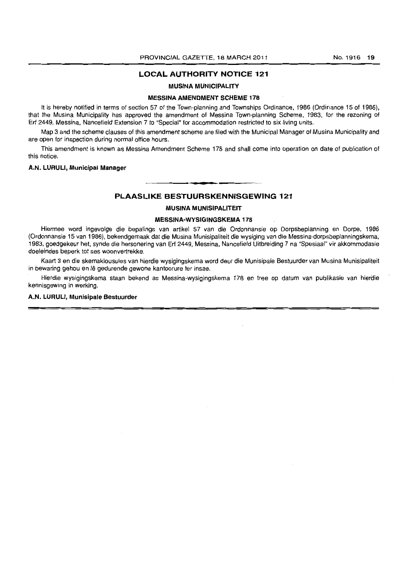#### **LOCAL AUTHORITY NOTICE 121**

#### **MUSINA MUNICIPALITY**

#### **MESSINA AMENDMENT SCHEME 178**

It is hereby notified in terms of section 57 of the Town-planning and Townships Ordinance, 1986 (Ordinance 15 of 1986), that the Musina Municipality has approved the amendment of Messina Town-planning Scheme, 1983, for the rezoning of Erf 2449, Messina, Nancefield Extension 7 to "Special" for accommodation restricted to six living units.

Map 3 and the scheme clauses of this amendment scheme are filed with the Municipal Manager of Musina Municipality and are open for inspection during normal office hours.

This amendment is known as Messina Amendment Scheme 178 and shall come into operation on date of publication of this notice.

#### **A.N. LURUlI, Municipal Manager**

# **• PLAASLIKE BESTUURSKENNISGEWING 121**

#### **MUSINA MUNISIPALITEIT**

#### **MESSINA-WYSIGINGSKEMA178**

Hiermee word ingevolge die bepalings van artikel 57 van die Ordonnansie op Dorpsbeplanning en Dorpe, 1986 (Ordonnansie 15 van 1986), bekendgemaak dat die Musina Munisipaliteit die wysiging van die Messina-dorpsbeplanningskema, 1983, goedgekeur het, synde die hersonering van Erf 2449, Messina, Nancefield Uitbreiding 7 na "Spesiaal" vir akkommodasie doeleindes beperk tot ses woonvertrekke.

Kaart 3 en die skemaklousules van hierdie wysigingskema word deur die Munisipale Bestuurder van Musina Munisipaliteit in bewaring gehou en Iê gedurende gewone kantoorure ter insae.

Hierdie wysigingskema staan bekend as Messina-wysigingskema 178 en tree op datum van publikasie van hierdie kennisgewing in werking.

#### **A.N. LURUlI, Munisipale Bestuurder**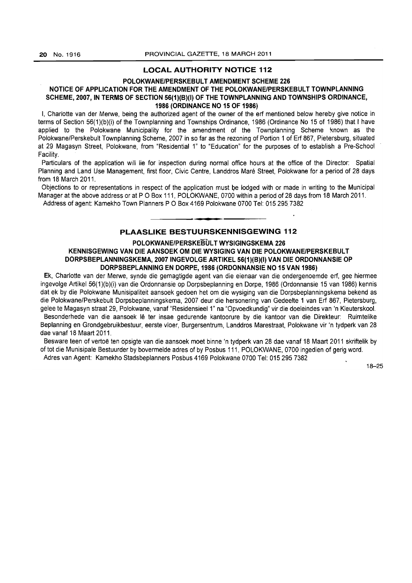#### **LOCAL AUTHORITY NOTICE 112**

#### **POLOKWANE/PERSKEBULT AMENDMENT SCHEME 226**

#### NOTICE OF APPLICATION FOR THE AMENDMENT OF THE POLOKWANE/PERSKEBULT TOWNPLANNING **SCHEME, 2007, IN TERMS OF SECTION 56(1)(B)(I) OF THE TOWNPLANNING AND TOWNSHIPS ORDINANCE, 1986 (ORDINANCE NO 15 OF 1986)**

I, Charlotte van der Merwe, being the authorized agent of the owner of the erf mentioned below hereby give notice in terms of Section 56(1)(b)(i) of the Townplanning and Townships Ordinance, 1986 (Ordinance No 15 of 1986) that I have applied to the Polokwane Municipality for the amendment of the Townplanning Scheme known as the Polokwane/Perskebult Townplanning Scheme, 2007 in so far as the rezoning of Portion 1 of Erf 867, Pietersburg, situated at 29 Magasyn Street, Polokwane, from "Residential 1" to "Education" for the purposes of to establish a Pre-School Facility.

Particulars of the application will lie for inspection during normal office hours at the office of the Director: Spatial Planning and Land Use Management, first floor, Civic Centre, Landdros Mare Street, Polokwane for a period of 28 days from 18 March 2011.

Objections to or representations in respect of the application must be lodged with or made in writing to the Municipal Manager at the above address or at P O Box 111, POLOKWANE, 0700 within a period of 28 days from 18 March 2011. Address of agent: Kamekho Town Planners POBox 4169 Polokwane 0700 Tel: 015295 7382

# **• PLAASLIKE BESTUURSKENNISGEWING 112**

#### **POLOKWANE/PERSKEBUL T WYSIGINGSKEMA 226 KENNISGEWING VAN DIE AANSOEK OM DIE WYSIGING VAN DIE POLOKWANE/PERSKEBULT DORPSBEPLANNINGSKEMA, 20071NGEVOLGE ARTIKEL 56(1)(B)(I) VAN DIE ORDONNANSIE OP DORPSBEPLANNING EN DORPE, 1986 (ORDONNANSIE NO 15 VAN 1986)**

Ek, Charlotte van der Merwe, synde die gemagtigde agent van die eienaar van die ondergenoemde erf, gee hiermee ingevolge Artikel 56(1)(b)(i) van die Ordonnansie op Dorpsbeplanning en Dorpe, 1986 (Ordonnansie 15 van 1986) kennis dat ek by die Polokwane Munisipaliteit aansoek gedoen het om die wysiging van die Dorpsbeplanningskema bekend as die Polokwane/Perskebult Dorpsbeplanningskema, 2007 deur die hersonering van Gedeelte 1 van Erf 867, Pietersburg, gelee te Magasyn straat 29, Polokwane, vanaf "Residensieel 1" na "Opvoedkundig" vir die doeleindes van 'n Kleuterskool. Besonderhede van die aansoek Ie ter insae gedurende kantoorure by die kantoor van die Direkteur: Ruimtelike Beplanning en Grondgebruikbestuur, eerste vloer, Burgersentrum, Landdros Marestraat, Polokwane vir 'n tydperk van 28 dae vanaf 18 Maart 2011.

Besware teen of vertoe ten opsigte van die aansoek moet binne 'n tydperk van 28 dae vanaf 18 Maart 2011 skriftelik by of tot die Munisipale Bestuurder by bovermelde adres of by Posbus 111, POLOKWANE, 0700 ingedien of gerig word. Adres van Agent: Kamekho Stadsbeplanners Posbus 4169 Polokwane 0700 Tel: 0152957382

18-25